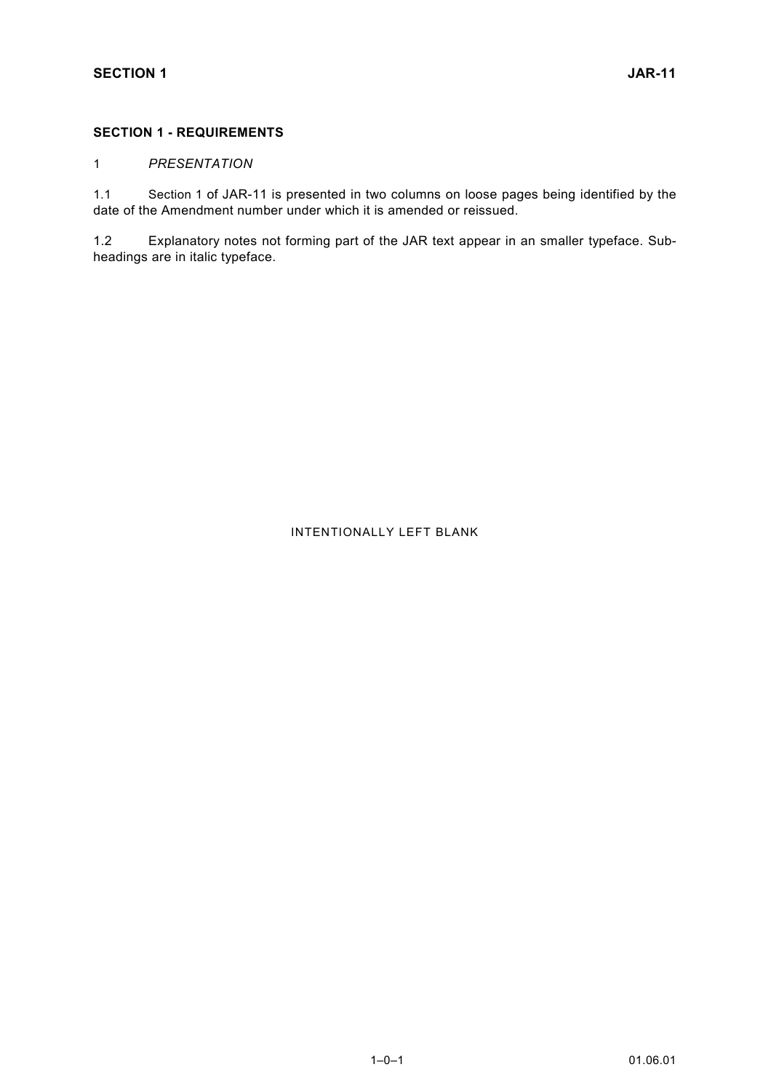## **SECTION 1 - REQUIREMENTS**

## 1 *PRESENTATION*

1.1 Section 1 of JAR-11 is presented in two columns on loose pages being identified by the date of the Amendment number under which it is amended or reissued.

1.2 Explanatory notes not forming part of the JAR text appear in an smaller typeface. Subheadings are in italic typeface.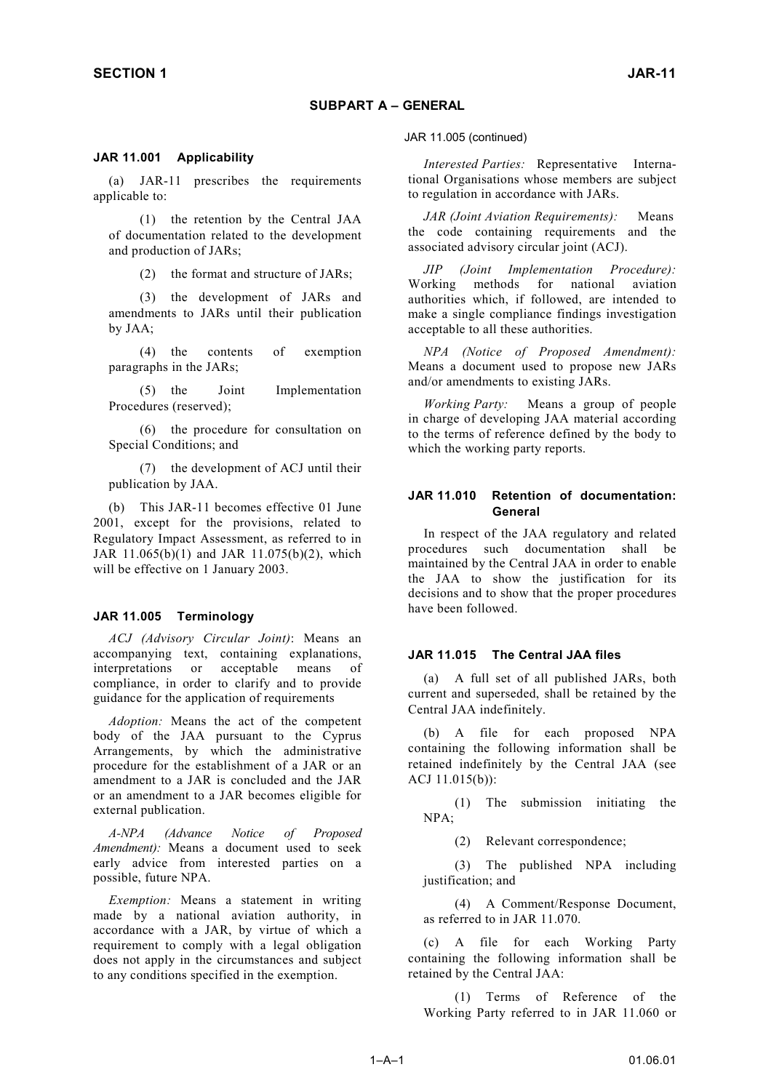## **SUBPART A – GENERAL**

#### **JAR 11.001 Applicability**

(a) JAR-11 prescribes the requirements applicable to:

(1) the retention by the Central JAA of documentation related to the development and production of JARs;

(2) the format and structure of JARs;

(3) the development of JARs and amendments to JARs until their publication by JAA;

(4) the contents of exemption paragraphs in the JARs;

(5) the Joint Implementation Procedures (reserved);

(6) the procedure for consultation on Special Conditions; and

(7) the development of ACJ until their publication by JAA.

(b) This JAR-11 becomes effective 01 June 2001, except for the provisions, related to Regulatory Impact Assessment, as referred to in JAR 11.065(b)(1) and JAR 11.075(b)(2), which will be effective on 1 January 2003.

#### **JAR 11.005 Terminology**

*ACJ (Advisory Circular Joint)*: Means an accompanying text, containing explanations, interpretations or acceptable means of compliance, in order to clarify and to provide guidance for the application of requirements

*Adoption:* Means the act of the competent body of the JAA pursuant to the Cyprus Arrangements, by which the administrative procedure for the establishment of a JAR or an amendment to a JAR is concluded and the JAR or an amendment to a JAR becomes eligible for external publication.

*A-NPA (Advance Notice of Proposed Amendment*): Means a document used to seek early advice from interested parties on a possible, future NPA.

*Exemption:* Means a statement in writing made by a national aviation authority, in accordance with a JAR, by virtue of which a requirement to comply with a legal obligation does not apply in the circumstances and subject to any conditions specified in the exemption.

JAR 11.005 (continued)

*Interested Parties:* Representative International Organisations whose members are subject to regulation in accordance with JARs.

*JAR (Joint Aviation Requirements):* Means the code containing requirements and the associated advisory circular joint (ACJ).

*JIP (Joint Implementation Procedure):* Working methods for national aviation authorities which, if followed, are intended to make a single compliance findings investigation acceptable to all these authorities.

*NPA (Notice of Proposed Amendment):* Means a document used to propose new JARs and/or amendments to existing JARs.

*Working Party:* Means a group of people in charge of developing JAA material according to the terms of reference defined by the body to which the working party reports.

#### **JAR 11.010 Retention of documentation: General**

In respect of the JAA regulatory and related procedures such documentation shall be maintained by the Central JAA in order to enable the JAA to show the justification for its decisions and to show that the proper procedures have been followed.

#### **JAR 11.015 The Central JAA files**

(a) A full set of all published JARs, both current and superseded, shall be retained by the Central JAA indefinitely.

(b) A file for each proposed NPA containing the following information shall be retained indefinitely by the Central JAA (see ACJ 11.015(b)):

(1) The submission initiating the NPA;

(2) Relevant correspondence;

(3) The published NPA including justification; and

(4) A Comment/Response Document, as referred to in JAR 11.070.

(c) A file for each Working Party containing the following information shall be retained by the Central JAA:

(1) Terms of Reference of the Working Party referred to in JAR 11.060 or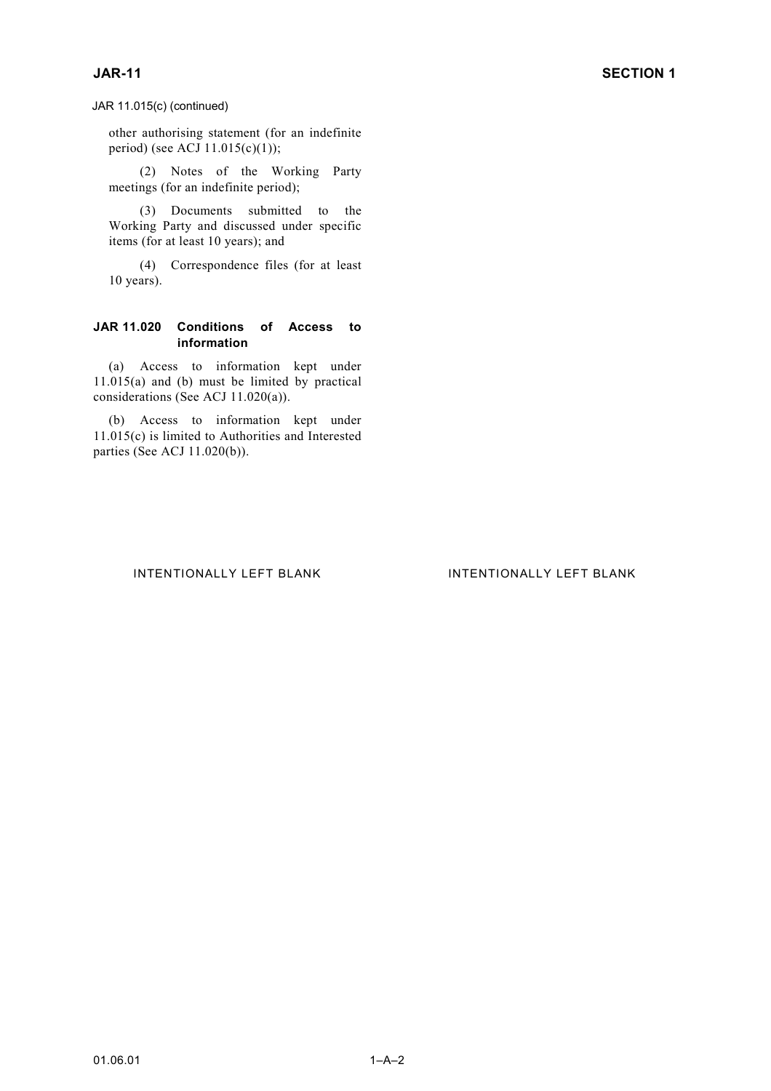JAR 11.015(c) (continued)

other authorising statement (for an indefinite period) (see ACJ 11.015(c)(1));

(2) Notes of the Working Party meetings (for an indefinite period);

(3) Documents submitted to the Working Party and discussed under specific items (for at least 10 years); and

(4) Correspondence files (for at least 10 years).

## **JAR 11.020 Conditions of Access to information**

(a) Access to information kept under 11.015(a) and (b) must be limited by practical considerations (See ACJ 11.020(a)).

(b) Access to information kept under 11.015(c) is limited to Authorities and Interested parties (See ACJ 11.020(b)).

## INTENTIONALLY LEFT BLANK INTENTIONALLY LEFT BLANK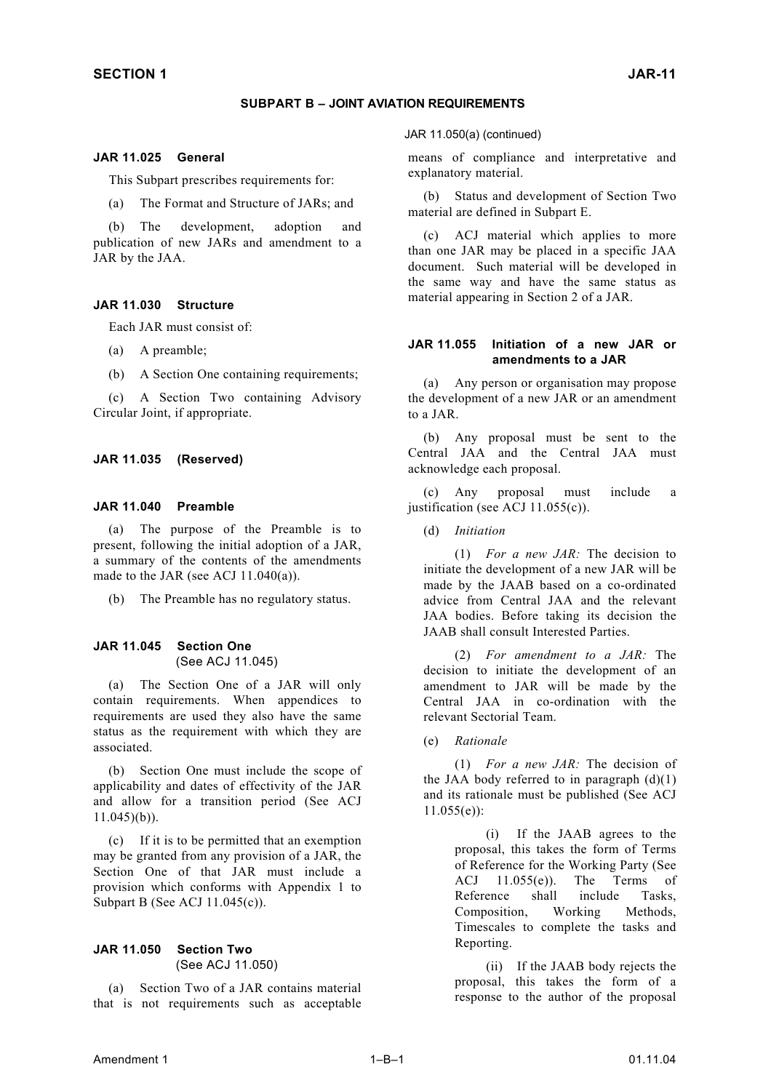#### **SUBPART B – JOINT AVIATION REQUIREMENTS**

#### **JAR 11.025 General**

This Subpart prescribes requirements for:

(a) The Format and Structure of JARs; and

(b) The development, adoption and publication of new JARs and amendment to a JAR by the JAA.

#### **JAR 11.030 Structure**

Each JAR must consist of:

- (a) A preamble;
- (b) A Section One containing requirements;

(c) A Section Two containing Advisory Circular Joint, if appropriate.

#### **JAR 11.035 (Reserved)**

#### **JAR 11.040 Preamble**

(a) The purpose of the Preamble is to present, following the initial adoption of a JAR, a summary of the contents of the amendments made to the JAR (see ACJ 11.040(a)).

(b) The Preamble has no regulatory status.

### **JAR 11.045 Section One** (See ACJ 11.045)

(a) The Section One of a JAR will only contain requirements. When appendices to requirements are used they also have the same status as the requirement with which they are associated.

(b) Section One must include the scope of applicability and dates of effectivity of the JAR and allow for a transition period (See ACJ 11.045)(b)).

(c) If it is to be permitted that an exemption may be granted from any provision of a JAR, the Section One of that JAR must include a provision which conforms with Appendix 1 to Subpart B (See ACJ 11.045(c)).

#### **JAR 11.050 Section Two**  (See ACJ 11.050)

(a) Section Two of a JAR contains material that is not requirements such as acceptable JAR 11.050(a) (continued)

means of compliance and interpretative and explanatory material.

(b) Status and development of Section Two material are defined in Subpart E.

(c) ACJ material which applies to more than one JAR may be placed in a specific JAA document. Such material will be developed in the same way and have the same status as material appearing in Section 2 of a JAR.

#### **JAR 11.055 Initiation of a new JAR or amendments to a JAR**

(a) Any person or organisation may propose the development of a new JAR or an amendment to a JAR.

(b) Any proposal must be sent to the Central JAA and the Central JAA must acknowledge each proposal.

(c) Any proposal must include a justification (see ACJ 11.055(c)).

(d) *Initiation*

(1) *For a new JAR:* The decision to initiate the development of a new JAR will be made by the JAAB based on a co-ordinated advice from Central JAA and the relevant JAA bodies. Before taking its decision the JAAB shall consult Interested Parties.

(2) *For amendment to a JAR:* The decision to initiate the development of an amendment to JAR will be made by the Central JAA in co-ordination with the relevant Sectorial Team.

(e) *Rationale*

(1) *For a new JAR:* The decision of the JAA body referred to in paragraph  $(d)(1)$ and its rationale must be published (See ACJ  $11.055(e)$ :

> (i) If the JAAB agrees to the proposal, this takes the form of Terms of Reference for the Working Party (See ACJ 11.055(e)). The Terms of Reference shall include Tasks, Composition, Working Methods, Timescales to complete the tasks and Reporting.

> (ii) If the JAAB body rejects the proposal, this takes the form of a response to the author of the proposal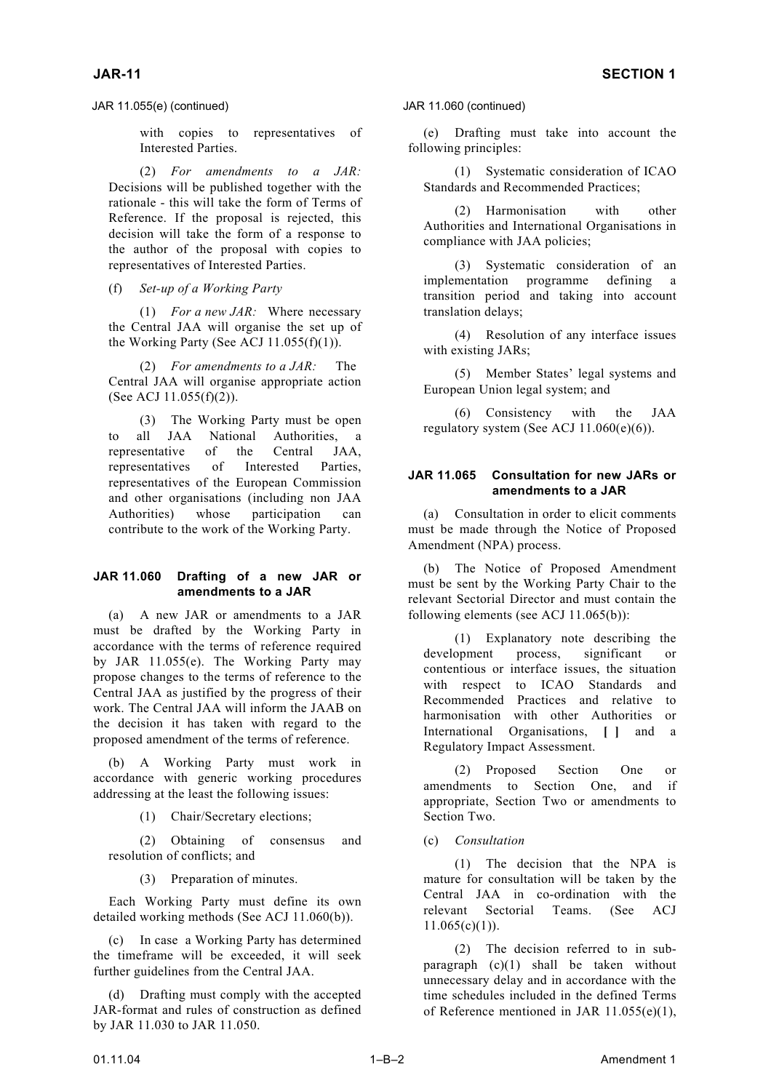JAR 11.055(e) (continued) JAR 11.060 (continued)

with copies to representatives of Interested Parties.

(2) *For amendments to a JAR:* Decisions will be published together with the rationale - this will take the form of Terms of Reference. If the proposal is rejected, this decision will take the form of a response to the author of the proposal with copies to representatives of Interested Parties.

(f) *Set-up of a Working Party* 

(1) *For a new JAR:* Where necessary the Central JAA will organise the set up of the Working Party (See ACJ 11.055(f)(1)). (4) Resolution of any interface issues the Working Party (See ACJ 11.055(f)(1)).

(2) *For amendments to a JAR:* The Central JAA will organise appropriate action (See ACJ 11.055(f)(2)).

to all JAA National Authorities, a representative of the Central JAA, representatives of Interested Parties, representatives of the European Commission and other organisations (including non JAA Authorities) whose participation can contribute to the work of the Working Party.

## **JAR 11.060 Drafting of a new JAR or amendments to a JAR**

(a) A new JAR or amendments to a JAR must be drafted by the Working Party in accordance with the terms of reference required by JAR 11.055(e). The Working Party may propose changes to the terms of reference to the Central JAA as justified by the progress of their work. The Central JAA will inform the JAAB on the decision it has taken with regard to the proposed amendment of the terms of reference.

(b) A Working Party must work in accordance with generic working procedures addressing at the least the following issues:

(1) Chair/Secretary elections; Section Two.

(2) Obtaining of consensus and (c) *Consultation* resolution of conflicts; and (1) The decision that the NPA is

(3) Preparation of minutes.

Each Working Party must define its own detailed working methods (See ACJ 11.060(b)).

(c) In case a Working Party has determined the timeframe will be exceeded, it will seek further guidelines from the Central JAA.

(d) Drafting must comply with the accepted JAR-format and rules of construction as defined by JAR 11.030 to JAR 11.050.

(e) Drafting must take into account the following principles:

(1) Systematic consideration of ICAO Standards and Recommended Practices;

(2) Harmonisation with other Authorities and International Organisations in compliance with JAA policies;

(3) Systematic consideration of an implementation programme defining a transition period and taking into account translation delays;

with existing JARs;

(5) Member States' legal systems and European Union legal system; and

(6) Consistency with the JAA (3) The Working Party must be open  $(8)$  Consistency with the 3

## **JAR 11.065 Consultation for new JARs or amendments to a JAR**

(a) Consultation in order to elicit comments must be made through the Notice of Proposed Amendment (NPA) process.

(b) The Notice of Proposed Amendment must be sent by the Working Party Chair to the relevant Sectorial Director and must contain the following elements (see ACJ 11.065(b)):

(1) Explanatory note describing the development process, significant or contentious or interface issues, the situation with respect to ICAO Standards and Recommended Practices and relative to harmonisation with other Authorities or International Organisations, **[ ]** and a Regulatory Impact Assessment.

(2) Proposed Section One or amendments to Section One, and if appropriate, Section Two or amendments to

mature for consultation will be taken by the Central JAA in co-ordination with the relevant Sectorial Teams. (See ACJ  $11.065(c)(1)$ ).

(2) The decision referred to in subparagraph (c)(1) shall be taken without unnecessary delay and in accordance with the time schedules included in the defined Terms of Reference mentioned in JAR 11.055(e)(1),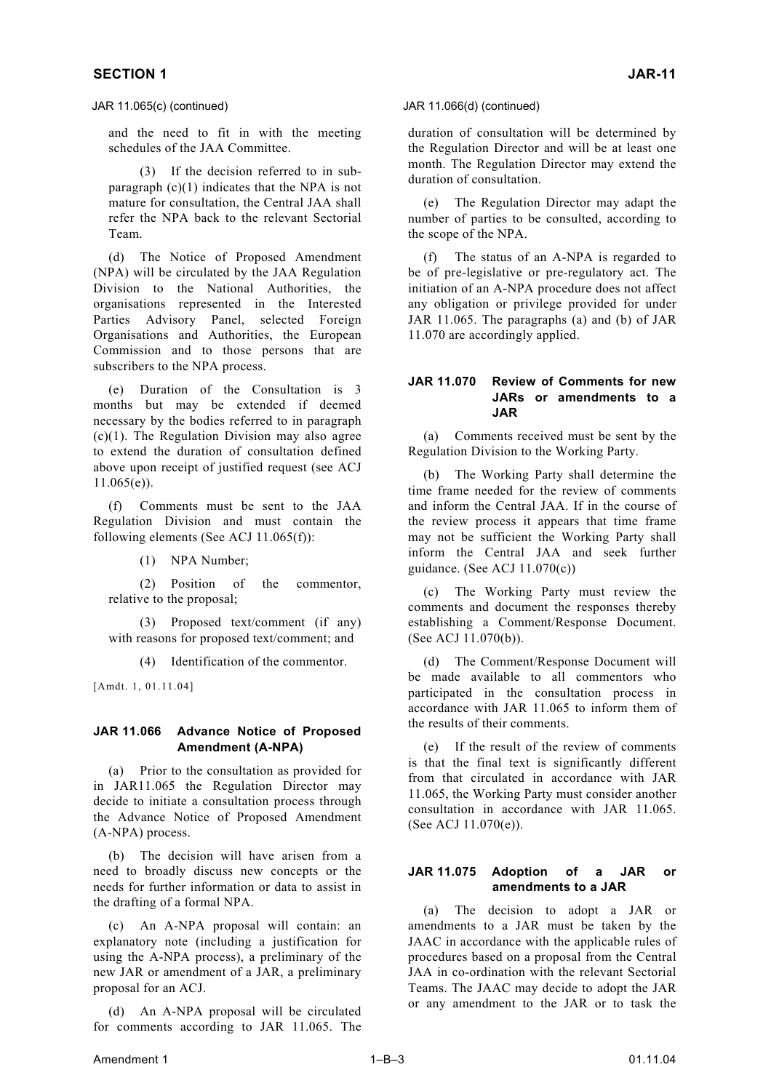and the need to fit in with the meeting schedules of the JAA Committee.

(3) If the decision referred to in subparagraph  $(c)(1)$  indicates that the NPA is not mature for consultation, the Central JAA shall refer the NPA back to the relevant Sectorial Team.

(d) The Notice of Proposed Amendment (NPA) will be circulated by the JAA Regulation Division to the National Authorities, the organisations represented in the Interested Parties Advisory Panel, selected Foreign Organisations and Authorities, the European Commission and to those persons that are subscribers to the NPA process.

(e) Duration of the Consultation is 3 months but may be extended if deemed necessary by the bodies referred to in paragraph  $(c)(1)$ . The Regulation Division may also agree to extend the duration of consultation defined above upon receipt of justified request (see ACJ 11.065(e)).

(f) Comments must be sent to the JAA Regulation Division and must contain the following elements (See ACJ 11.065(f)):

(1) NPA Number;

(2) Position of the commentor, relative to the proposal;

(3) Proposed text/comment (if any) with reasons for proposed text/comment; and

(4) Identification of the commentor.

[Amdt. 1, 01.11.04]

## **JAR 11.066 Advance Notice of Proposed Amendment (A-NPA)**

(a) Prior to the consultation as provided for in JAR11.065 the Regulation Director may decide to initiate a consultation process through the Advance Notice of Proposed Amendment (A-NPA) process.

(b) The decision will have arisen from a need to broadly discuss new concepts or the needs for further information or data to assist in the drafting of a formal NPA.

(c) An A-NPA proposal will contain: an explanatory note (including a justification for using the A-NPA process), a preliminary of the new JAR or amendment of a JAR, a preliminary proposal for an ACJ.

(d) An A-NPA proposal will be circulated for comments according to JAR 11.065. The duration of consultation will be determined by the Regulation Director and will be at least one month. The Regulation Director may extend the duration of consultation.

(e) The Regulation Director may adapt the number of parties to be consulted, according to the scope of the NPA.

The status of an A-NPA is regarded to be of pre-legislative or pre-regulatory act. The initiation of an A-NPA procedure does not affect any obligation or privilege provided for under JAR 11.065. The paragraphs (a) and (b) of JAR 11.070 are accordingly applied.

## **JAR 11.070 Review of Comments for new JARs or amendments to a JAR**

(a) Comments received must be sent by the Regulation Division to the Working Party.

The Working Party shall determine the time frame needed for the review of comments and inform the Central JAA. If in the course of the review process it appears that time frame may not be sufficient the Working Party shall inform the Central JAA and seek further guidance. (See ACJ 11.070(c))

(c) The Working Party must review the comments and document the responses thereby establishing a Comment/Response Document. (See ACJ 11.070(b)).

(d) The Comment/Response Document will be made available to all commentors who participated in the consultation process in accordance with JAR 11.065 to inform them of the results of their comments.

(e) If the result of the review of comments is that the final text is significantly different from that circulated in accordance with JAR 11.065, the Working Party must consider another consultation in accordance with JAR 11.065. (See ACJ 11.070(e)).

## **JAR 11.075 Adoption of a JAR or amendments to a JAR**

(a) The decision to adopt a JAR or amendments to a JAR must be taken by the JAAC in accordance with the applicable rules of procedures based on a proposal from the Central JAA in co-ordination with the relevant Sectorial Teams. The JAAC may decide to adopt the JAR or any amendment to the JAR or to task the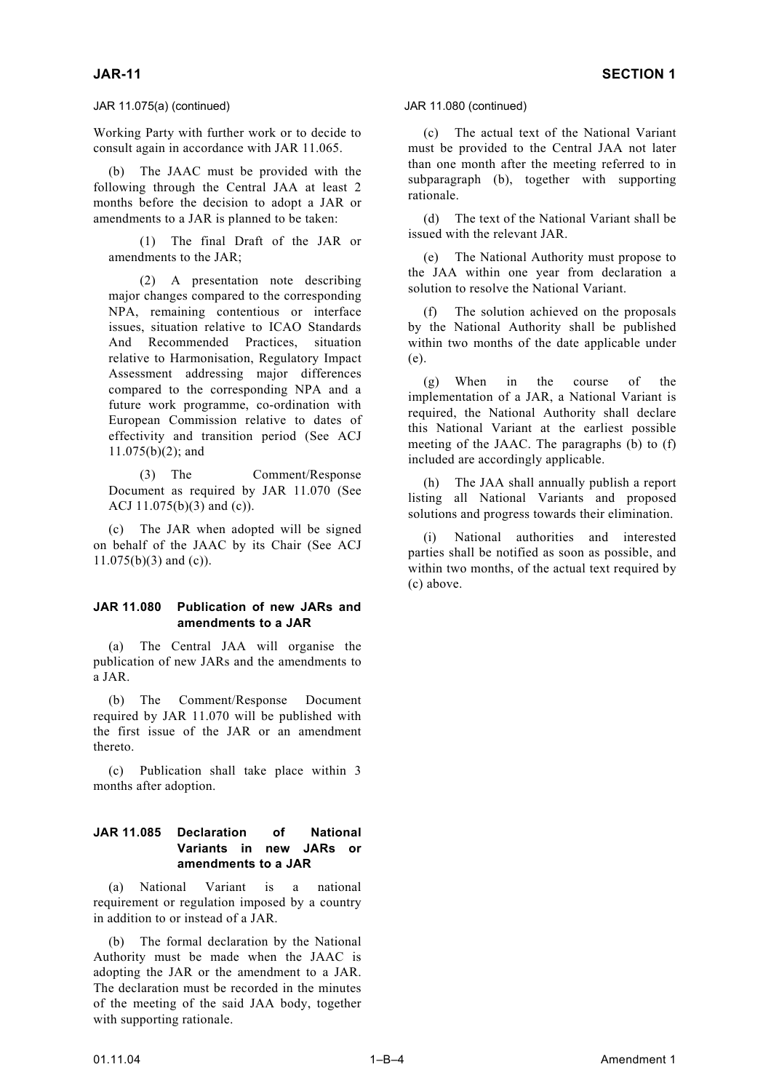## JAR 11.075(a) (continued) JAR 11.080 (continued)

Working Party with further work or to decide to consult again in accordance with JAR 11.065.

The JAAC must be provided with the following through the Central JAA at least 2 months before the decision to adopt a JAR or amendments to a JAR is planned to be taken: (d) The text of the National Variant shall be

issued with the relevant JAR. (1) The final Draft of the JAR or

(2) A presentation note describing the JAA within one year from decia major changes compared to the corresponding NPA, remaining contentious or interface issues, situation relative to ICAO Standards And Recommended Practices, situation relative to Harmonisation, Regulatory Impact Assessment addressing major differences compared to the corresponding NPA and a future work programme, co-ordination with European Commission relative to dates of effectivity and transition period (See ACJ  $11.075(b)(2)$ ; and

(3) The Comment/Response Document as required by JAR 11.070 (See ACJ 11.075(b)(3) and (c)).

(c) The JAR when adopted will be signed on behalf of the JAAC by its Chair (See ACJ  $11.075(b)(3)$  and (c)).

## **JAR 11.080 Publication of new JARs and amendments to a JAR**

(a) The Central JAA will organise the publication of new JARs and the amendments to a JAR.

(b) The Comment/Response Document required by JAR 11.070 will be published with the first issue of the JAR or an amendment thereto.

(c) Publication shall take place within 3 months after adoption.

## **JAR 11.085 Declaration of National Variants in new JARs or amendments to a JAR**

(a) National Variant is a national requirement or regulation imposed by a country in addition to or instead of a JAR.

The formal declaration by the National Authority must be made when the JAAC is adopting the JAR or the amendment to a JAR. The declaration must be recorded in the minutes of the meeting of the said JAA body, together with supporting rationale.

(c) The actual text of the National Variant must be provided to the Central JAA not later than one month after the meeting referred to in subparagraph (b), together with supporting rationale.

amendments to the JAR; (e) The National Authority must propose to the JAA within one year from declaration a

> (f) The solution achieved on the proposals by the National Authority shall be published within two months of the date applicable under (e).

> (g) When in the course of the implementation of a JAR, a National Variant is required, the National Authority shall declare this National Variant at the earliest possible meeting of the JAAC. The paragraphs  $(b)$  to  $(f)$ included are accordingly applicable.

> (h) The JAA shall annually publish a report listing all National Variants and proposed solutions and progress towards their elimination.

> National authorities and interested parties shall be notified as soon as possible, and within two months, of the actual text required by (c) above.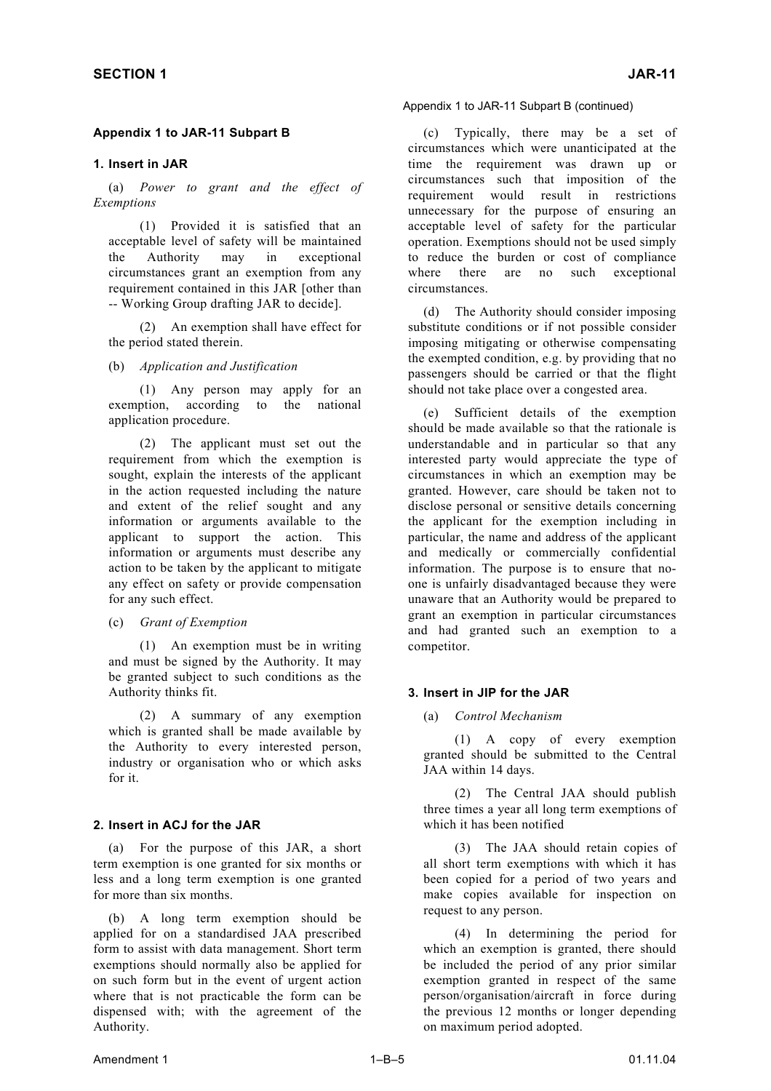## **Appendix 1 to JAR-11 Subpart B**

### **1. Insert in JAR**

(a) *Power to grant and the effect of Exemptions*

(1) Provided it is satisfied that an acceptable level of safety will be maintained the Authority may in exceptional circumstances grant an exemption from any requirement contained in this JAR [other than

(2) An exemption shall have effect for the period stated therein.

(b) *Application and Justification*

(1) Any person may apply for an exemption, according to the national

(2) The applicant must set out the requirement from which the exemption is sought, explain the interests of the applicant in the action requested including the nature and extent of the relief sought and any information or arguments available to the applicant to support the action. This information or arguments must describe any action to be taken by the applicant to mitigate any effect on safety or provide compensation for any such effect.

(c) *Grant of Exemption*

(1) An exemption must be in writing and must be signed by the Authority. It may be granted subject to such conditions as the Authority thinks fit. **3. Insert in JIP for the JAR** 

(2) A summary of any exemption (a) *Control Mechanism* which is granted shall be made available by the Authority to every interested person, industry or organisation who or which asks for it.

## **2. Insert in ACJ for the JAR** which it has been notified

(a) For the purpose of this JAR, a short term exemption is one granted for six months or less and a long term exemption is one granted for more than six months.

(b) A long term exemption should be applied for on a standardised JAA prescribed form to assist with data management. Short term exemptions should normally also be applied for on such form but in the event of urgent action where that is not practicable the form can be dispensed with; with the agreement of the Authority.

(c) Typically, there may be a set of circumstances which were unanticipated at the time the requirement was drawn up or circumstances such that imposition of the requirement would result in restrictions unnecessary for the purpose of ensuring an acceptable level of safety for the particular operation. Exemptions should not be used simply to reduce the burden or cost of compliance where there are no such exceptional circumstances.

-- Working Group drafting JAR to decide]. (d) The Authority should consider imposing substitute conditions or if not possible consider imposing mitigating or otherwise compensating the exempted condition, e.g. by providing that no passengers should be carried or that the flight should not take place over a congested area.

exemption, according to the hanonal (e) Sufficient details of the exemption application procedure. should be made available so that the rationale is understandable and in particular so that any interested party would appreciate the type of circumstances in which an exemption may be granted. However, care should be taken not to disclose personal or sensitive details concerning the applicant for the exemption including in particular, the name and address of the applicant and medically or commercially confidential information. The purpose is to ensure that noone is unfairly disadvantaged because they were unaware that an Authority would be prepared to grant an exemption in particular circumstances and had granted such an exemption to a competitor.

(1) A copy of every exemption granted should be submitted to the Central JAA within 14 days.

(2) The Central JAA should publish three times a year all long term exemptions of

(3) The JAA should retain copies of all short term exemptions with which it has been copied for a period of two years and make copies available for inspection on request to any person.

(4) In determining the period for which an exemption is granted, there should be included the period of any prior similar exemption granted in respect of the same person/organisation/aircraft in force during the previous 12 months or longer depending on maximum period adopted.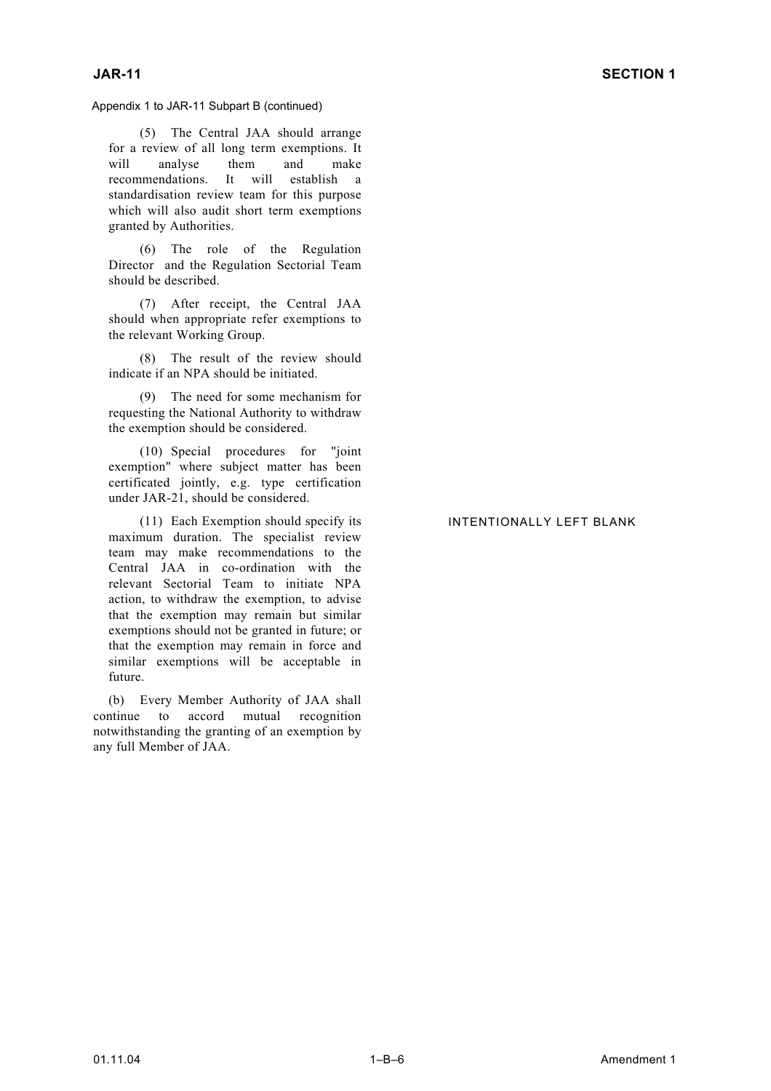Appendix 1 to JAR-11 Subpart B (continued)

(5) The Central JAA should arrange for a review of all long term exemptions. It<br>will analyse them and make will analyse them and make recommendations. It will establish a standardisation review team for this purpose which will also audit short term exemptions granted by Authorities.

(6) The role of the Regulation Director and the Regulation Sectorial Team should be described.

(7) After receipt, the Central JAA should when appropriate refer exemptions to the relevant Working Group.

(8) The result of the review should indicate if an NPA should be initiated.

(9) The need for some mechanism for requesting the National Authority to withdraw the exemption should be considered.

(10) Special procedures for "joint exemption" where subject matter has been certificated jointly, e.g. type certification under JAR-21, should be considered.

(11) Each Exemption should specify its maximum duration. The specialist review team may make recommendations to the Central JAA in co-ordination with the relevant Sectorial Team to initiate NPA action, to withdraw the exemption, to advise that the exemption may remain but similar exemptions should not be granted in future; or that the exemption may remain in force and similar exemptions will be acceptable in future.

(b) Every Member Authority of JAA shall continue to accord mutual recognition notwithstanding the granting of an exemption by any full Member of JAA.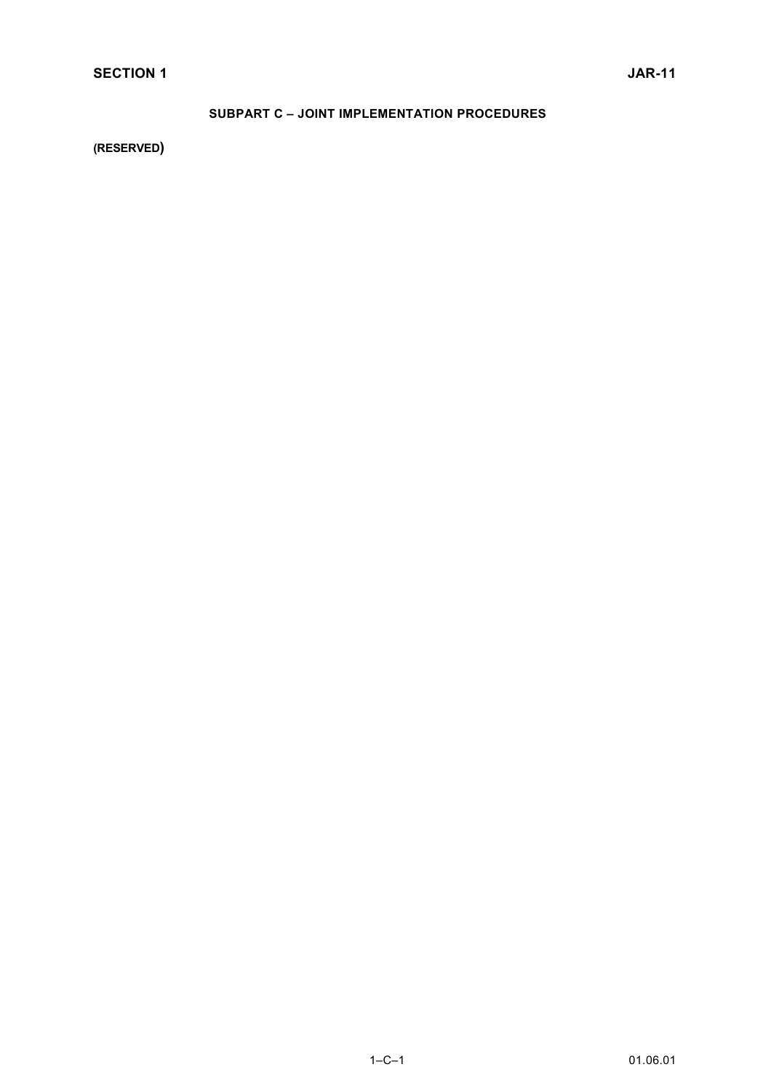# **SUBPART C – JOINT IMPLEMENTATION PROCEDURES**

**(RESERVED)**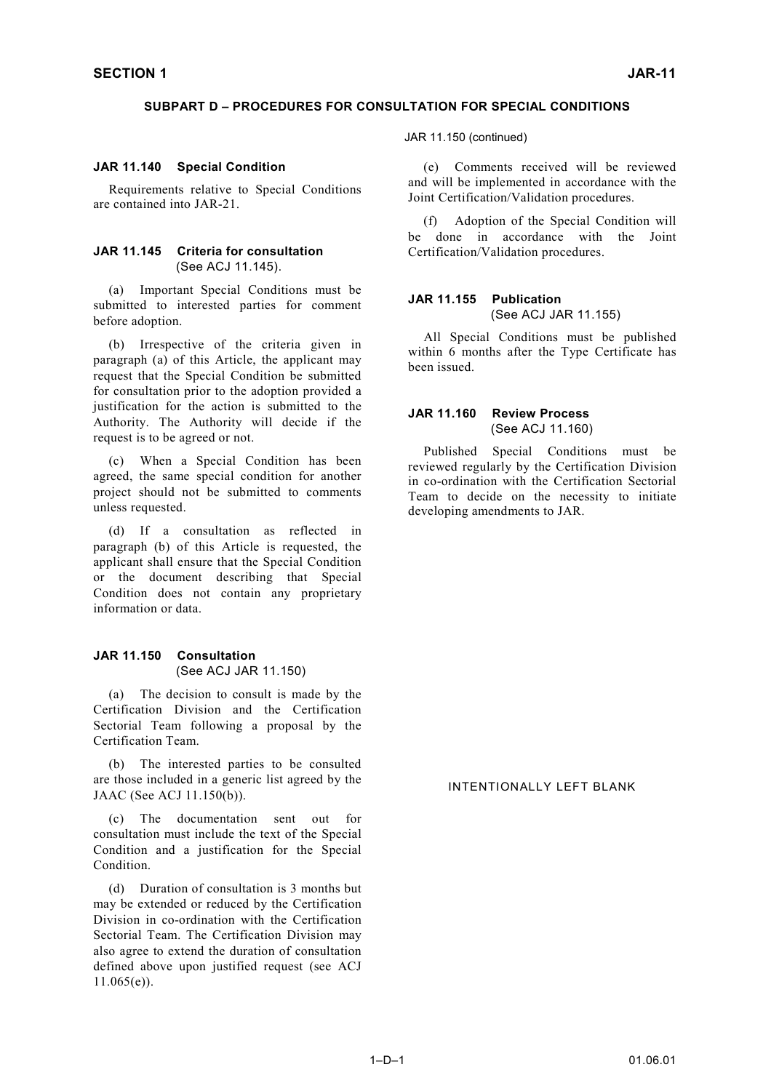### **SUBPART D – PROCEDURES FOR CONSULTATION FOR SPECIAL CONDITIONS**

## **JAR 11.140 Special Condition**

Requirements relative to Special Conditions are contained into JAR-21.

## **JAR 11.145 Criteria for consultation** (See ACJ 11.145).

(a) Important Special Conditions must be submitted to interested parties for comment before adoption.

(b) Irrespective of the criteria given in paragraph (a) of this Article, the applicant may request that the Special Condition be submitted for consultation prior to the adoption provided a justification for the action is submitted to the Authority. The Authority will decide if the request is to be agreed or not.

When a Special Condition has been agreed, the same special condition for another project should not be submitted to comments unless requested.

(d) If a consultation as reflected in paragraph (b) of this Article is requested, the applicant shall ensure that the Special Condition or the document describing that Special Condition does not contain any proprietary information or data.

### **JAR 11.150 Consultation** (See ACJ JAR 11.150)

(a) The decision to consult is made by the Certification Division and the Certification Sectorial Team following a proposal by the Certification Team.

(b) The interested parties to be consulted are those included in a generic list agreed by the JAAC (See ACJ 11.150(b)).

(c) The documentation sent out for consultation must include the text of the Special Condition and a justification for the Special Condition.

(d) Duration of consultation is 3 months but may be extended or reduced by the Certification Division in co-ordination with the Certification Sectorial Team. The Certification Division may also agree to extend the duration of consultation defined above upon justified request (see ACJ  $11.065(e)$ ).

JAR 11.150 (continued)

(e) Comments received will be reviewed and will be implemented in accordance with the Joint Certification/Validation procedures.

(f) Adoption of the Special Condition will be done in accordance with the Joint Certification/Validation procedures.

### **JAR 11.155 Publication** (See ACJ JAR 11.155)

All Special Conditions must be published within 6 months after the Type Certificate has been issued.

### **JAR 11.160 Review Process** (See ACJ 11.160)

Published Special Conditions must be reviewed regularly by the Certification Division in co-ordination with the Certification Sectorial Team to decide on the necessity to initiate developing amendments to JAR.